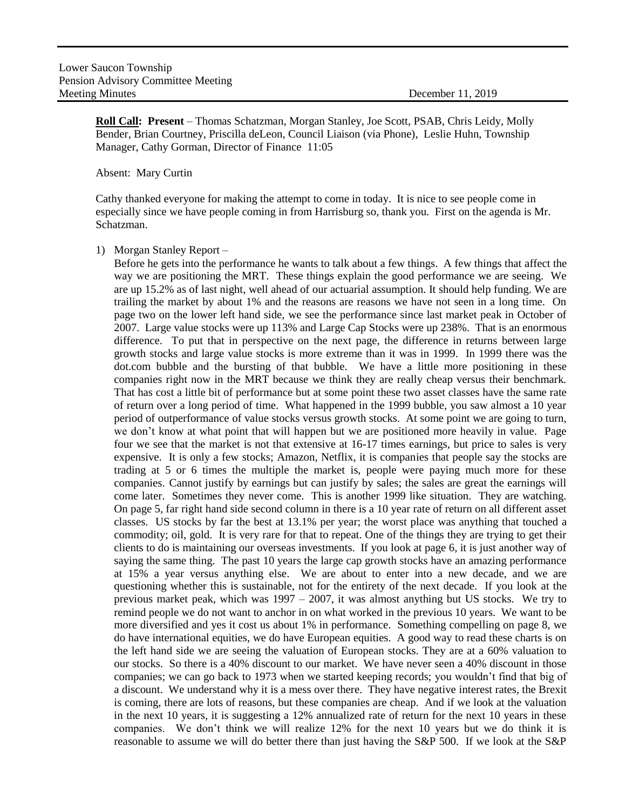**Roll Call: Present** – Thomas Schatzman, Morgan Stanley, Joe Scott, PSAB, Chris Leidy, Molly Bender, Brian Courtney, Priscilla deLeon, Council Liaison (via Phone), Leslie Huhn, Township Manager, Cathy Gorman, Director of Finance 11:05

## Absent: Mary Curtin

Cathy thanked everyone for making the attempt to come in today. It is nice to see people come in especially since we have people coming in from Harrisburg so, thank you. First on the agenda is Mr. Schatzman.

1) Morgan Stanley Report –

Before he gets into the performance he wants to talk about a few things. A few things that affect the way we are positioning the MRT. These things explain the good performance we are seeing. We are up 15.2% as of last night, well ahead of our actuarial assumption. It should help funding. We are trailing the market by about 1% and the reasons are reasons we have not seen in a long time. On page two on the lower left hand side, we see the performance since last market peak in October of 2007. Large value stocks were up 113% and Large Cap Stocks were up 238%. That is an enormous difference. To put that in perspective on the next page, the difference in returns between large growth stocks and large value stocks is more extreme than it was in 1999. In 1999 there was the dot.com bubble and the bursting of that bubble. We have a little more positioning in these companies right now in the MRT because we think they are really cheap versus their benchmark. That has cost a little bit of performance but at some point these two asset classes have the same rate of return over a long period of time. What happened in the 1999 bubble, you saw almost a 10 year period of outperformance of value stocks versus growth stocks. At some point we are going to turn, we don't know at what point that will happen but we are positioned more heavily in value. Page four we see that the market is not that extensive at 16-17 times earnings, but price to sales is very expensive. It is only a few stocks; Amazon, Netflix, it is companies that people say the stocks are trading at 5 or 6 times the multiple the market is, people were paying much more for these companies. Cannot justify by earnings but can justify by sales; the sales are great the earnings will come later. Sometimes they never come. This is another 1999 like situation. They are watching. On page 5, far right hand side second column in there is a 10 year rate of return on all different asset classes. US stocks by far the best at 13.1% per year; the worst place was anything that touched a commodity; oil, gold. It is very rare for that to repeat. One of the things they are trying to get their clients to do is maintaining our overseas investments. If you look at page 6, it is just another way of saying the same thing. The past 10 years the large cap growth stocks have an amazing performance at 15% a year versus anything else. We are about to enter into a new decade, and we are questioning whether this is sustainable, not for the entirety of the next decade. If you look at the previous market peak, which was 1997 – 2007, it was almost anything but US stocks. We try to remind people we do not want to anchor in on what worked in the previous 10 years. We want to be more diversified and yes it cost us about 1% in performance. Something compelling on page 8, we do have international equities, we do have European equities. A good way to read these charts is on the left hand side we are seeing the valuation of European stocks. They are at a 60% valuation to our stocks. So there is a 40% discount to our market. We have never seen a 40% discount in those companies; we can go back to 1973 when we started keeping records; you wouldn't find that big of a discount. We understand why it is a mess over there. They have negative interest rates, the Brexit is coming, there are lots of reasons, but these companies are cheap. And if we look at the valuation in the next 10 years, it is suggesting a 12% annualized rate of return for the next 10 years in these companies. We don't think we will realize 12% for the next 10 years but we do think it is reasonable to assume we will do better there than just having the S&P 500. If we look at the S&P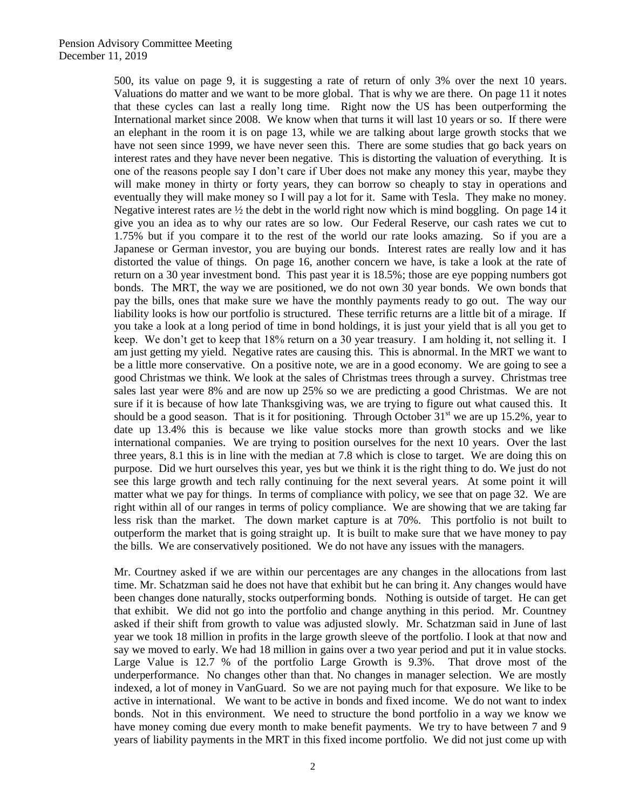500, its value on page 9, it is suggesting a rate of return of only 3% over the next 10 years. Valuations do matter and we want to be more global. That is why we are there. On page 11 it notes that these cycles can last a really long time. Right now the US has been outperforming the International market since 2008. We know when that turns it will last 10 years or so. If there were an elephant in the room it is on page 13, while we are talking about large growth stocks that we have not seen since 1999, we have never seen this. There are some studies that go back years on interest rates and they have never been negative. This is distorting the valuation of everything. It is one of the reasons people say I don't care if Uber does not make any money this year, maybe they will make money in thirty or forty years, they can borrow so cheaply to stay in operations and eventually they will make money so I will pay a lot for it. Same with Tesla. They make no money. Negative interest rates are  $\frac{1}{2}$  the debt in the world right now which is mind boggling. On page 14 it give you an idea as to why our rates are so low. Our Federal Reserve, our cash rates we cut to 1.75% but if you compare it to the rest of the world our rate looks amazing. So if you are a Japanese or German investor, you are buying our bonds. Interest rates are really low and it has distorted the value of things. On page 16, another concern we have, is take a look at the rate of return on a 30 year investment bond. This past year it is 18.5%; those are eye popping numbers got bonds. The MRT, the way we are positioned, we do not own 30 year bonds. We own bonds that pay the bills, ones that make sure we have the monthly payments ready to go out. The way our liability looks is how our portfolio is structured. These terrific returns are a little bit of a mirage. If you take a look at a long period of time in bond holdings, it is just your yield that is all you get to keep. We don't get to keep that 18% return on a 30 year treasury. I am holding it, not selling it. I am just getting my yield. Negative rates are causing this. This is abnormal. In the MRT we want to be a little more conservative. On a positive note, we are in a good economy. We are going to see a good Christmas we think. We look at the sales of Christmas trees through a survey. Christmas tree sales last year were 8% and are now up 25% so we are predicting a good Christmas. We are not sure if it is because of how late Thanksgiving was, we are trying to figure out what caused this. It should be a good season. That is it for positioning. Through October  $31<sup>st</sup>$  we are up 15.2%, year to date up 13.4% this is because we like value stocks more than growth stocks and we like international companies. We are trying to position ourselves for the next 10 years. Over the last three years, 8.1 this is in line with the median at 7.8 which is close to target. We are doing this on purpose. Did we hurt ourselves this year, yes but we think it is the right thing to do. We just do not see this large growth and tech rally continuing for the next several years. At some point it will matter what we pay for things. In terms of compliance with policy, we see that on page 32. We are right within all of our ranges in terms of policy compliance. We are showing that we are taking far less risk than the market. The down market capture is at 70%. This portfolio is not built to outperform the market that is going straight up. It is built to make sure that we have money to pay the bills. We are conservatively positioned. We do not have any issues with the managers.

Mr. Courtney asked if we are within our percentages are any changes in the allocations from last time. Mr. Schatzman said he does not have that exhibit but he can bring it. Any changes would have been changes done naturally, stocks outperforming bonds. Nothing is outside of target. He can get that exhibit. We did not go into the portfolio and change anything in this period. Mr. Countney asked if their shift from growth to value was adjusted slowly. Mr. Schatzman said in June of last year we took 18 million in profits in the large growth sleeve of the portfolio. I look at that now and say we moved to early. We had 18 million in gains over a two year period and put it in value stocks. Large Value is 12.7 % of the portfolio Large Growth is 9.3%. That drove most of the underperformance. No changes other than that. No changes in manager selection. We are mostly indexed, a lot of money in VanGuard. So we are not paying much for that exposure. We like to be active in international. We want to be active in bonds and fixed income. We do not want to index bonds. Not in this environment. We need to structure the bond portfolio in a way we know we have money coming due every month to make benefit payments. We try to have between 7 and 9 years of liability payments in the MRT in this fixed income portfolio. We did not just come up with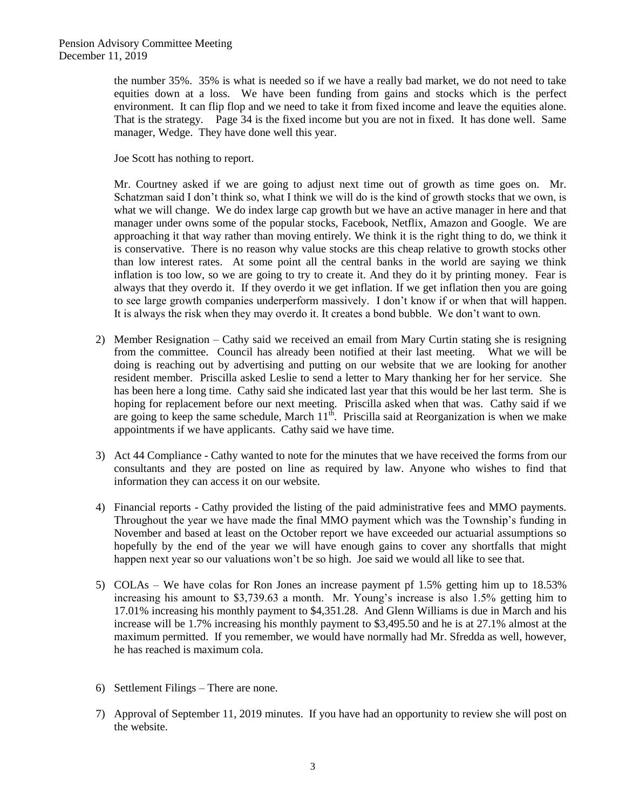the number 35%. 35% is what is needed so if we have a really bad market, we do not need to take equities down at a loss. We have been funding from gains and stocks which is the perfect environment. It can flip flop and we need to take it from fixed income and leave the equities alone. That is the strategy. Page 34 is the fixed income but you are not in fixed. It has done well. Same manager, Wedge. They have done well this year.

Joe Scott has nothing to report.

Mr. Courtney asked if we are going to adjust next time out of growth as time goes on. Mr. Schatzman said I don't think so, what I think we will do is the kind of growth stocks that we own, is what we will change. We do index large cap growth but we have an active manager in here and that manager under owns some of the popular stocks, Facebook, Netflix, Amazon and Google. We are approaching it that way rather than moving entirely. We think it is the right thing to do, we think it is conservative. There is no reason why value stocks are this cheap relative to growth stocks other than low interest rates. At some point all the central banks in the world are saying we think inflation is too low, so we are going to try to create it. And they do it by printing money. Fear is always that they overdo it. If they overdo it we get inflation. If we get inflation then you are going to see large growth companies underperform massively. I don't know if or when that will happen. It is always the risk when they may overdo it. It creates a bond bubble. We don't want to own.

- 2) Member Resignation Cathy said we received an email from Mary Curtin stating she is resigning from the committee. Council has already been notified at their last meeting. What we will be doing is reaching out by advertising and putting on our website that we are looking for another resident member. Priscilla asked Leslie to send a letter to Mary thanking her for her service. She has been here a long time. Cathy said she indicated last year that this would be her last term. She is hoping for replacement before our next meeting. Priscilla asked when that was. Cathy said if we are going to keep the same schedule, March  $11^{th}$ . Priscilla said at Reorganization is when we make appointments if we have applicants. Cathy said we have time.
- 3) Act 44 Compliance Cathy wanted to note for the minutes that we have received the forms from our consultants and they are posted on line as required by law. Anyone who wishes to find that information they can access it on our website.
- 4) Financial reports Cathy provided the listing of the paid administrative fees and MMO payments. Throughout the year we have made the final MMO payment which was the Township's funding in November and based at least on the October report we have exceeded our actuarial assumptions so hopefully by the end of the year we will have enough gains to cover any shortfalls that might happen next year so our valuations won't be so high. Joe said we would all like to see that.
- 5) COLAs We have colas for Ron Jones an increase payment pf 1.5% getting him up to 18.53% increasing his amount to \$3,739.63 a month. Mr. Young's increase is also 1.5% getting him to 17.01% increasing his monthly payment to \$4,351.28. And Glenn Williams is due in March and his increase will be 1.7% increasing his monthly payment to \$3,495.50 and he is at 27.1% almost at the maximum permitted. If you remember, we would have normally had Mr. Sfredda as well, however, he has reached is maximum cola.
- 6) Settlement Filings There are none.
- 7) Approval of September 11, 2019 minutes. If you have had an opportunity to review she will post on the website.